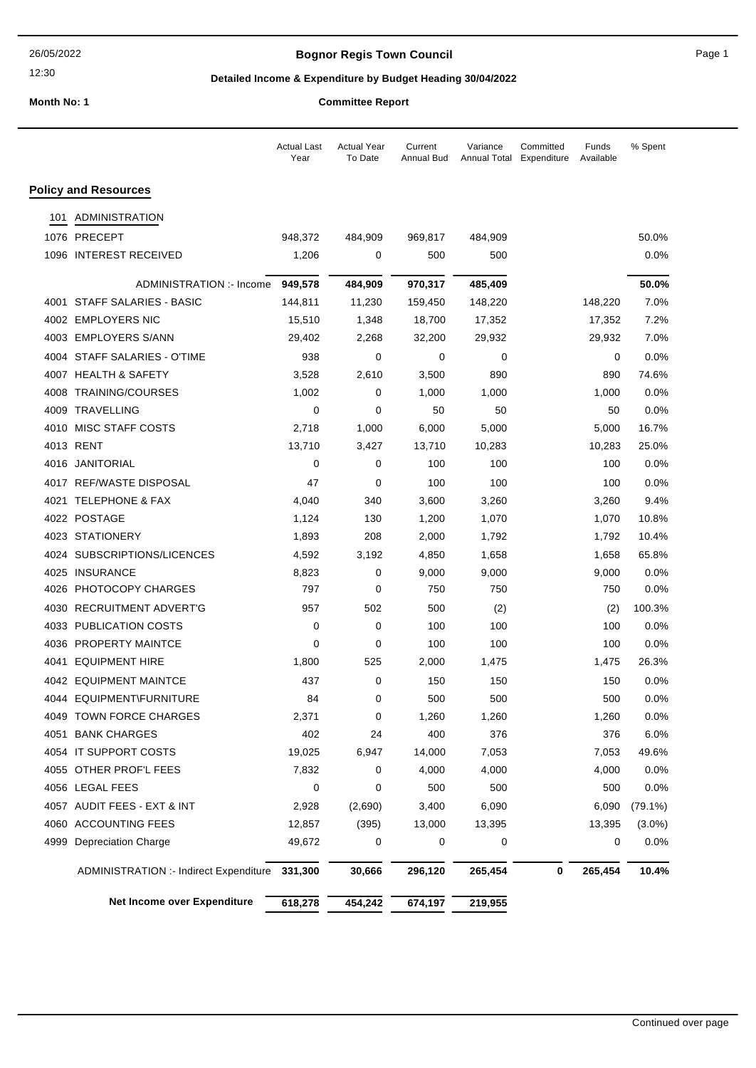# **Bognor Regis Town Council Connect Connect Page 1** Page 1

## **Detailed Income & Expenditure by Budget Heading 30/04/2022**

**Month No: 1 Committee Report Report Report** 

| ommittee Report |  |
|-----------------|--|
|-----------------|--|

|      |                                        | <b>Actual Last</b><br>Year | <b>Actual Year</b><br>To Date | Current<br>Annual Bud | Variance<br><b>Annual Total</b> | Committed<br>Expenditure | Funds<br>Available | % Spent    |
|------|----------------------------------------|----------------------------|-------------------------------|-----------------------|---------------------------------|--------------------------|--------------------|------------|
|      | <b>Policy and Resources</b>            |                            |                               |                       |                                 |                          |                    |            |
| 101  | <b>ADMINISTRATION</b>                  |                            |                               |                       |                                 |                          |                    |            |
|      | 1076 PRECEPT                           | 948,372                    | 484,909                       | 969,817               | 484,909                         |                          |                    | 50.0%      |
|      | 1096 INTEREST RECEIVED                 | 1,206                      | 0                             | 500                   | 500                             |                          |                    | 0.0%       |
|      | ADMINISTRATION :- Income               | 949,578                    | 484,909                       | 970,317               | 485,409                         |                          |                    | 50.0%      |
|      | 4001 STAFF SALARIES - BASIC            | 144,811                    | 11,230                        | 159,450               | 148,220                         |                          | 148,220            | 7.0%       |
|      | 4002 EMPLOYERS NIC                     | 15,510                     | 1,348                         | 18,700                | 17,352                          |                          | 17,352             | 7.2%       |
|      | 4003 EMPLOYERS S/ANN                   | 29,402                     | 2,268                         | 32,200                | 29,932                          |                          | 29,932             | 7.0%       |
| 4004 | STAFF SALARIES - O'TIME                | 938                        | 0                             | 0                     | 0                               |                          | 0                  | 0.0%       |
|      | 4007 HEALTH & SAFETY                   | 3,528                      | 2,610                         | 3,500                 | 890                             |                          | 890                | 74.6%      |
|      | 4008 TRAINING/COURSES                  | 1,002                      | 0                             | 1,000                 | 1,000                           |                          | 1,000              | 0.0%       |
|      | 4009 TRAVELLING                        | 0                          | $\mathbf 0$                   | 50                    | 50                              |                          | 50                 | 0.0%       |
|      | 4010 MISC STAFF COSTS                  | 2,718                      | 1,000                         | 6,000                 | 5,000                           |                          | 5,000              | 16.7%      |
|      | 4013 RENT                              | 13,710                     | 3,427                         | 13,710                | 10,283                          |                          | 10,283             | 25.0%      |
|      | 4016 JANITORIAL                        | 0                          | 0                             | 100                   | 100                             |                          | 100                | 0.0%       |
|      | 4017 REF/WASTE DISPOSAL                | 47                         | 0                             | 100                   | 100                             |                          | 100                | 0.0%       |
|      | 4021 TELEPHONE & FAX                   | 4,040                      | 340                           | 3,600                 | 3,260                           |                          | 3,260              | 9.4%       |
|      | 4022 POSTAGE                           | 1,124                      | 130                           | 1,200                 | 1,070                           |                          | 1,070              | 10.8%      |
|      | 4023 STATIONERY                        | 1,893                      | 208                           | 2,000                 | 1,792                           |                          | 1,792              | 10.4%      |
| 4024 | SUBSCRIPTIONS/LICENCES                 | 4,592                      | 3,192                         | 4,850                 | 1,658                           |                          | 1,658              | 65.8%      |
| 4025 | INSURANCE                              | 8,823                      | 0                             | 9,000                 | 9,000                           |                          | 9,000              | 0.0%       |
| 4026 | PHOTOCOPY CHARGES                      | 797                        | 0                             | 750                   | 750                             |                          | 750                | 0.0%       |
| 4030 | RECRUITMENT ADVERT'G                   | 957                        | 502                           | 500                   | (2)                             |                          | (2)                | 100.3%     |
|      | 4033 PUBLICATION COSTS                 | 0                          | 0                             | 100                   | 100                             |                          | 100                | 0.0%       |
|      | 4036 PROPERTY MAINTCE                  | 0                          | 0                             | 100                   | 100                             |                          | 100                | 0.0%       |
| 4041 | <b>EQUIPMENT HIRE</b>                  | 1,800                      | 525                           | 2,000                 | 1,475                           |                          | 1,475              | 26.3%      |
|      | 4042 EQUIPMENT MAINTCE                 | 437                        | 0                             | 150                   | 150                             |                          | 150                | 0.0%       |
|      | 4044 EQUIPMENT\FURNITURE               | 84                         | 0                             | 500                   | 500                             |                          | 500                | 0.0%       |
|      | 4049 TOWN FORCE CHARGES                | 2,371                      | 0                             | 1,260                 | 1,260                           |                          | 1,260              | 0.0%       |
|      | 4051 BANK CHARGES                      | 402                        | 24                            | 400                   | 376                             |                          | 376                | 6.0%       |
|      | 4054 IT SUPPORT COSTS                  | 19,025                     | 6,947                         | 14,000                | 7,053                           |                          | 7,053              | 49.6%      |
|      | 4055 OTHER PROF'L FEES                 | 7,832                      | 0                             | 4,000                 | 4,000                           |                          | 4,000              | $0.0\%$    |
|      | 4056 LEGAL FEES                        | 0                          | 0                             | 500                   | 500                             |                          | 500                | 0.0%       |
|      | 4057 AUDIT FEES - EXT & INT            | 2,928                      | (2,690)                       | 3,400                 | 6,090                           |                          | 6,090              | $(79.1\%)$ |
|      | 4060 ACCOUNTING FEES                   | 12,857                     | (395)                         | 13,000                | 13,395                          |                          | 13,395             | $(3.0\%)$  |
| 4999 | <b>Depreciation Charge</b>             | 49,672                     | 0                             | 0                     | 0                               |                          | 0                  | 0.0%       |
|      | ADMINISTRATION :- Indirect Expenditure | 331,300                    | 30,666                        | 296,120               | 265,454                         | 0                        | 265,454            | 10.4%      |
|      | Net Income over Expenditure            | 618,278                    | 454,242                       | 674,197               | 219,955                         |                          |                    |            |
|      |                                        |                            |                               |                       |                                 |                          |                    |            |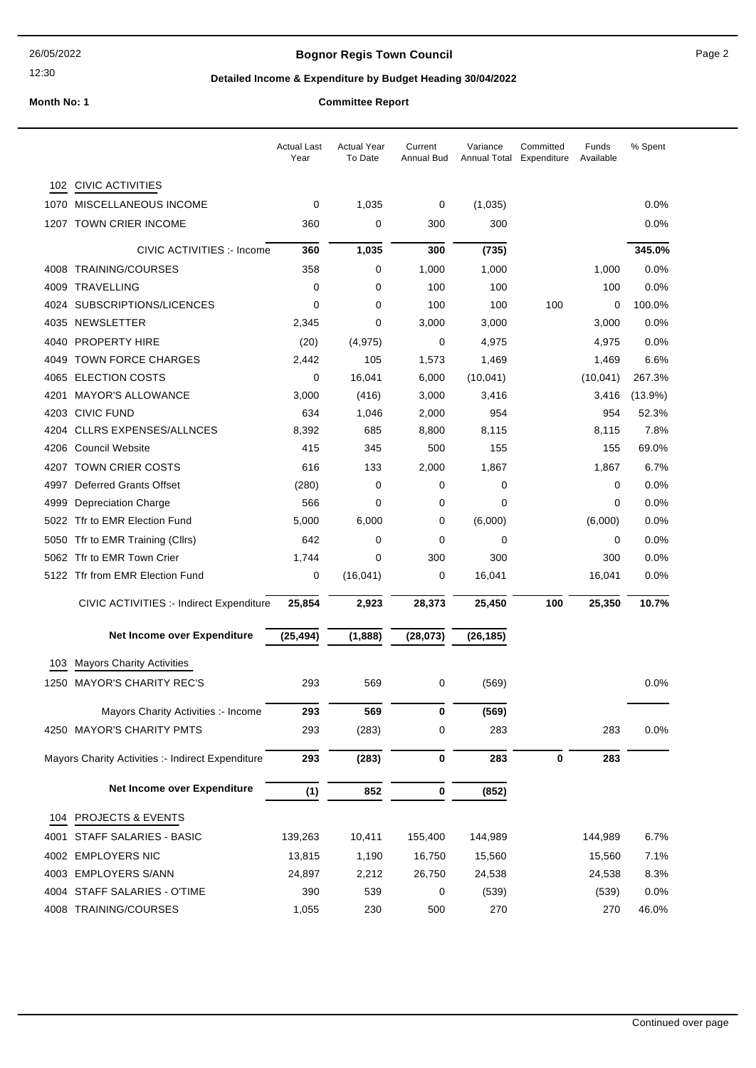## **Bognor Regis Town Council Page 2**

## **Detailed Income & Expenditure by Budget Heading 30/04/2022**

|  | commutee Report |  |  |
|--|-----------------|--|--|
|  |                 |  |  |

|      |                                                   | <b>Actual Last</b><br>Year | <b>Actual Year</b><br>To Date | Current<br>Annual Bud | Variance<br>Annual Total | Committed<br>Expenditure | Funds<br>Available | % Spent    |
|------|---------------------------------------------------|----------------------------|-------------------------------|-----------------------|--------------------------|--------------------------|--------------------|------------|
|      | 102 CIVIC ACTIVITIES                              |                            |                               |                       |                          |                          |                    |            |
|      | 1070 MISCELLANEOUS INCOME                         | 0                          | 1,035                         | 0                     | (1,035)                  |                          |                    | 0.0%       |
| 1207 | TOWN CRIER INCOME                                 | 360                        | 0                             | 300                   | 300                      |                          |                    | 0.0%       |
|      | CIVIC ACTIVITIES :- Income                        | 360                        | 1,035                         | 300                   | (735)                    |                          |                    | 345.0%     |
| 4008 | TRAINING/COURSES                                  | 358                        | 0                             | 1,000                 | 1,000                    |                          | 1,000              | 0.0%       |
| 4009 | TRAVELLING                                        | 0                          | 0                             | 100                   | 100                      |                          | 100                | 0.0%       |
| 4024 | SUBSCRIPTIONS/LICENCES                            | 0                          | 0                             | 100                   | 100                      | 100                      | 0                  | 100.0%     |
| 4035 | NEWSLETTER                                        | 2,345                      | 0                             | 3,000                 | 3,000                    |                          | 3,000              | 0.0%       |
| 4040 | <b>PROPERTY HIRE</b>                              | (20)                       | (4, 975)                      | 0                     | 4,975                    |                          | 4,975              | 0.0%       |
| 4049 | <b>TOWN FORCE CHARGES</b>                         | 2,442                      | 105                           | 1,573                 | 1,469                    |                          | 1,469              | 6.6%       |
| 4065 | <b>ELECTION COSTS</b>                             | 0                          | 16,041                        | 6,000                 | (10, 041)                |                          | (10, 041)          | 267.3%     |
| 4201 | <b>MAYOR'S ALLOWANCE</b>                          | 3,000                      | (416)                         | 3,000                 | 3,416                    |                          | 3,416              | $(13.9\%)$ |
| 4203 | <b>CIVIC FUND</b>                                 | 634                        | 1,046                         | 2,000                 | 954                      |                          | 954                | 52.3%      |
| 4204 | <b>CLLRS EXPENSES/ALLNCES</b>                     | 8,392                      | 685                           | 8,800                 | 8,115                    |                          | 8,115              | 7.8%       |
| 4206 | <b>Council Website</b>                            | 415                        | 345                           | 500                   | 155                      |                          | 155                | 69.0%      |
| 4207 | <b>TOWN CRIER COSTS</b>                           | 616                        | 133                           | 2,000                 | 1,867                    |                          | 1,867              | 6.7%       |
| 4997 | <b>Deferred Grants Offset</b>                     | (280)                      | $\mathbf 0$                   | 0                     | 0                        |                          | 0                  | 0.0%       |
| 4999 | <b>Depreciation Charge</b>                        | 566                        | 0                             | 0                     | 0                        |                          | 0                  | 0.0%       |
|      | 5022 Tfr to EMR Election Fund                     | 5,000                      | 6,000                         | 0                     | (6,000)                  |                          | (6,000)            | 0.0%       |
|      | 5050 Tfr to EMR Training (Cllrs)                  | 642                        | 0                             | 0                     | 0                        |                          | 0                  | 0.0%       |
|      | 5062 Tfr to EMR Town Crier                        | 1,744                      | $\mathbf 0$                   | 300                   | 300                      |                          | 300                | 0.0%       |
|      | 5122 Tfr from EMR Election Fund                   | 0                          | (16, 041)                     | 0                     | 16,041                   |                          | 16,041             | 0.0%       |
|      | CIVIC ACTIVITIES :- Indirect Expenditure          | 25,854                     | 2,923                         | 28,373                | 25,450                   | 100                      | 25,350             | 10.7%      |
|      | Net Income over Expenditure                       | (25, 494)                  | (1,888)                       | (28, 073)             | (26, 185)                |                          |                    |            |
| 103  | <b>Mayors Charity Activities</b>                  |                            |                               |                       |                          |                          |                    |            |
|      | 1250 MAYOR'S CHARITY REC'S                        | 293                        | 569                           | 0                     | (569)                    |                          |                    | $0.0\%$    |
|      | Mayors Charity Activities :- Income               | 293                        | 569                           | 0                     | (569)                    |                          |                    |            |
|      | 4250 MAYOR'S CHARITY PMTS                         | 293                        | (283)                         | 0                     | 283                      |                          | 283                | 0.0%       |
|      | Mayors Charity Activities :- Indirect Expenditure | 293                        | (283)                         | 0                     | 283                      | $\pmb{0}$                | 283                |            |
|      | Net Income over Expenditure                       | (1)                        | 852                           | 0                     | (852)                    |                          |                    |            |
| 104  | PROJECTS & EVENTS                                 |                            |                               |                       |                          |                          |                    |            |
|      | 4001 STAFF SALARIES - BASIC                       | 139,263                    | 10,411                        | 155,400               | 144,989                  |                          | 144,989            | 6.7%       |
|      | 4002 EMPLOYERS NIC                                | 13,815                     | 1,190                         | 16,750                | 15,560                   |                          | 15,560             | 7.1%       |
|      | 4003 EMPLOYERS S/ANN                              | 24,897                     | 2,212                         | 26,750                | 24,538                   |                          | 24,538             | 8.3%       |
|      | 4004 STAFF SALARIES - O'TIME                      | 390                        | 539                           | 0                     | (539)                    |                          | (539)              | 0.0%       |
|      | 4008 TRAINING/COURSES                             | 1,055                      | 230                           | 500                   | 270                      |                          | 270                | 46.0%      |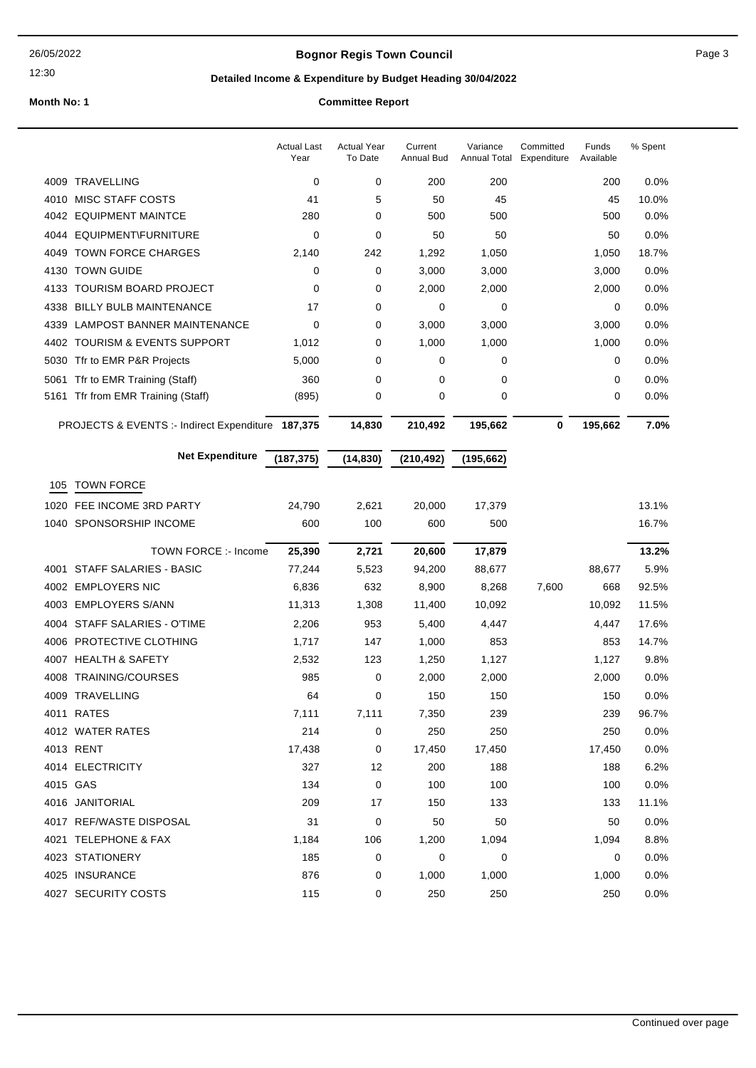## **Bognor Regis Town Council** Page 3

12:30

## **Detailed Income & Expenditure by Budget Heading 30/04/2022**

|      |                                                   | <b>Actual Last</b><br>Year | <b>Actual Year</b><br>To Date | Current<br><b>Annual Bud</b> | Variance<br>Annual Total | Committed<br>Expenditure | Funds<br>Available | % Spent |
|------|---------------------------------------------------|----------------------------|-------------------------------|------------------------------|--------------------------|--------------------------|--------------------|---------|
|      | 4009 TRAVELLING                                   | 0                          | 0                             | 200                          | 200                      |                          | 200                | 0.0%    |
| 4010 | MISC STAFF COSTS                                  | 41                         | 5                             | 50                           | 45                       |                          | 45                 | 10.0%   |
|      | 4042 EQUIPMENT MAINTCE                            | 280                        | $\mathbf 0$                   | 500                          | 500                      |                          | 500                | 0.0%    |
| 4044 | EQUIPMENT\FURNITURE                               | 0                          | $\mathbf 0$                   | 50                           | 50                       |                          | 50                 | 0.0%    |
| 4049 | <b>TOWN FORCE CHARGES</b>                         | 2,140                      | 242                           | 1,292                        | 1,050                    |                          | 1,050              | 18.7%   |
|      | 4130 TOWN GUIDE                                   | 0                          | 0                             | 3,000                        | 3,000                    |                          | 3,000              | 0.0%    |
| 4133 | <b>TOURISM BOARD PROJECT</b>                      | 0                          | 0                             | 2,000                        | 2,000                    |                          | 2,000              | 0.0%    |
| 4338 | <b>BILLY BULB MAINTENANCE</b>                     | 17                         | 0                             | 0                            | 0                        |                          | 0                  | 0.0%    |
| 4339 | <b>LAMPOST BANNER MAINTENANCE</b>                 | 0                          | 0                             | 3,000                        | 3,000                    |                          | 3,000              | 0.0%    |
|      | 4402 TOURISM & EVENTS SUPPORT                     | 1,012                      | 0                             | 1,000                        | 1,000                    |                          | 1,000              | 0.0%    |
| 5030 | Tfr to EMR P&R Projects                           | 5,000                      | 0                             | 0                            | 0                        |                          | 0                  | 0.0%    |
| 5061 | Tfr to EMR Training (Staff)                       | 360                        | 0                             | 0                            | 0                        |                          | 0                  | 0.0%    |
|      | 5161 Tfr from EMR Training (Staff)                | (895)                      | 0                             | 0                            | 0                        |                          | 0                  | 0.0%    |
|      | PROJECTS & EVENTS :- Indirect Expenditure 187,375 |                            | 14,830                        | 210,492                      | 195,662                  | 0                        | 195,662            | 7.0%    |
|      | <b>Net Expenditure</b>                            | (187, 375)                 | (14, 830)                     | (210, 492)                   | (195, 662)               |                          |                    |         |
| 105  | <b>TOWN FORCE</b>                                 |                            |                               |                              |                          |                          |                    |         |
| 1020 | FEE INCOME 3RD PARTY                              | 24,790                     | 2,621                         | 20,000                       | 17,379                   |                          |                    | 13.1%   |
|      | 1040 SPONSORSHIP INCOME                           | 600                        | 100                           | 600                          | 500                      |                          |                    | 16.7%   |
|      | TOWN FORCE :- Income                              | 25,390                     | 2,721                         | 20,600                       | 17,879                   |                          |                    | 13.2%   |
| 4001 | <b>STAFF SALARIES - BASIC</b>                     | 77,244                     | 5,523                         | 94,200                       | 88,677                   |                          | 88,677             | 5.9%    |
|      | 4002 EMPLOYERS NIC                                | 6,836                      | 632                           | 8,900                        | 8,268                    | 7,600                    | 668                | 92.5%   |
| 4003 | <b>EMPLOYERS S/ANN</b>                            | 11,313                     | 1,308                         | 11,400                       | 10,092                   |                          | 10,092             | 11.5%   |
| 4004 | STAFF SALARIES - O'TIME                           | 2,206                      | 953                           | 5,400                        | 4,447                    |                          | 4,447              | 17.6%   |
|      | 4006 PROTECTIVE CLOTHING                          | 1,717                      | 147                           | 1,000                        | 853                      |                          | 853                | 14.7%   |
|      | 4007 HEALTH & SAFETY                              | 2,532                      | 123                           | 1,250                        | 1,127                    |                          | 1,127              | 9.8%    |
| 4008 | TRAINING/COURSES                                  | 985                        | 0                             | 2,000                        | 2,000                    |                          | 2,000              | 0.0%    |
|      | 4009 TRAVELLING                                   | 64                         | 0                             | 150                          | 150                      |                          | 150                | 0.0%    |
|      | 4011 RATES                                        | 7,111                      | 7,111                         | 7,350                        | 239                      |                          | 239                | 96.7%   |
|      | 4012 WATER RATES                                  | 214                        | 0                             | 250                          | 250                      |                          | 250                | 0.0%    |
|      | 4013 RENT                                         | 17,438                     | 0                             | 17,450                       | 17,450                   |                          | 17,450             | 0.0%    |
|      | 4014 ELECTRICITY                                  | 327                        | 12                            | 200                          | 188                      |                          | 188                | 6.2%    |
|      | 4015 GAS                                          | 134                        | 0                             | 100                          | 100                      |                          | 100                | 0.0%    |
|      | 4016 JANITORIAL                                   | 209                        | 17                            | 150                          | 133                      |                          | 133                | 11.1%   |
|      | 4017 REF/WASTE DISPOSAL                           | 31                         | 0                             | 50                           | 50                       |                          | 50                 | 0.0%    |
|      | 4021 TELEPHONE & FAX                              | 1,184                      | 106                           | 1,200                        | 1,094                    |                          | 1,094              | 8.8%    |
|      | 4023 STATIONERY                                   | 185                        | 0                             | 0                            | 0                        |                          | 0                  | 0.0%    |
|      | 4025 INSURANCE                                    | 876                        | 0                             | 1,000                        | 1,000                    |                          | 1,000              | 0.0%    |
|      | 4027 SECURITY COSTS                               | 115                        | 0                             | 250                          | 250                      |                          | 250                | 0.0%    |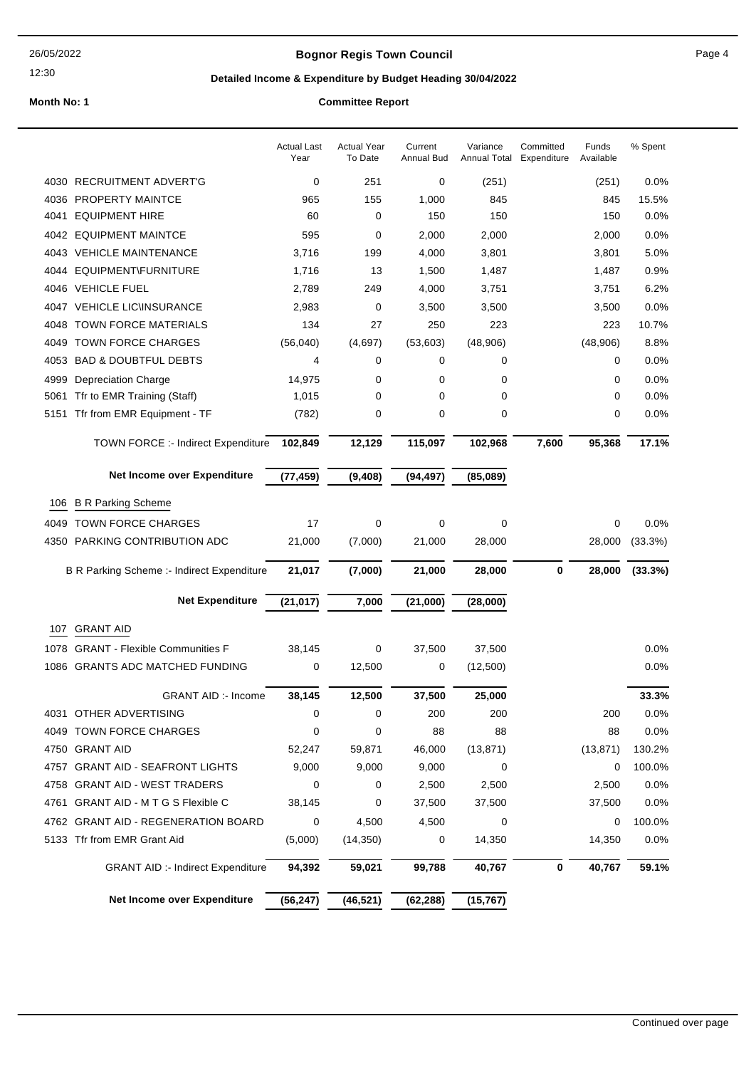## **Bognor Regis Town Council Connect Connect Page 4**

12:30

## **Detailed Income & Expenditure by Budget Heading 30/04/2022**

|      |                                            | <b>Actual Last</b><br>Year | <b>Actual Year</b><br>To Date | Current<br><b>Annual Bud</b> | Variance<br>Annual Total | Committed<br>Expenditure | Funds<br>Available | % Spent |
|------|--------------------------------------------|----------------------------|-------------------------------|------------------------------|--------------------------|--------------------------|--------------------|---------|
|      | 4030 RECRUITMENT ADVERT'G                  | 0                          | 251                           | 0                            | (251)                    |                          | (251)              | 0.0%    |
| 4036 | <b>PROPERTY MAINTCE</b>                    | 965                        | 155                           | 1,000                        | 845                      |                          | 845                | 15.5%   |
| 4041 | <b>EQUIPMENT HIRE</b>                      | 60                         | 0                             | 150                          | 150                      |                          | 150                | 0.0%    |
|      | 4042 EQUIPMENT MAINTCE                     | 595                        | 0                             | 2,000                        | 2,000                    |                          | 2,000              | 0.0%    |
|      | 4043 VEHICLE MAINTENANCE                   | 3,716                      | 199                           | 4,000                        | 3,801                    |                          | 3,801              | 5.0%    |
| 4044 | EQUIPMENT\FURNITURE                        | 1,716                      | 13                            | 1,500                        | 1,487                    |                          | 1,487              | 0.9%    |
| 4046 | <b>VEHICLE FUEL</b>                        | 2,789                      | 249                           | 4,000                        | 3,751                    |                          | 3,751              | 6.2%    |
| 4047 | <b>VEHICLE LIC\INSURANCE</b>               | 2,983                      | 0                             | 3,500                        | 3,500                    |                          | 3,500              | 0.0%    |
| 4048 | TOWN FORCE MATERIALS                       | 134                        | 27                            | 250                          | 223                      |                          | 223                | 10.7%   |
| 4049 | <b>TOWN FORCE CHARGES</b>                  | (56,040)                   | (4,697)                       | (53,603)                     | (48,906)                 |                          | (48,906)           | 8.8%    |
| 4053 | <b>BAD &amp; DOUBTFUL DEBTS</b>            | 4                          | 0                             | 0                            | 0                        |                          | 0                  | 0.0%    |
| 4999 | Depreciation Charge                        | 14,975                     | 0                             | 0                            | 0                        |                          | 0                  | 0.0%    |
| 5061 | Tfr to EMR Training (Staff)                | 1,015                      | 0                             | 0                            | 0                        |                          | 0                  | 0.0%    |
| 5151 | Tfr from EMR Equipment - TF                | (782)                      | 0                             | 0                            | 0                        |                          | 0                  | 0.0%    |
|      | <b>TOWN FORCE :- Indirect Expenditure</b>  | 102,849                    | 12,129                        | 115,097                      | 102,968                  | 7,600                    | 95,368             | 17.1%   |
|      | Net Income over Expenditure                | (77, 459)                  | (9,408)                       | (94, 497)                    | (85,089)                 |                          |                    |         |
| 106  | <b>B R Parking Scheme</b>                  |                            |                               |                              |                          |                          |                    |         |
| 4049 | <b>TOWN FORCE CHARGES</b>                  | 17                         | 0                             | 0                            | 0                        |                          | 0                  | 0.0%    |
|      | 4350 PARKING CONTRIBUTION ADC              | 21,000                     | (7,000)                       | 21,000                       | 28,000                   |                          | 28,000             | (33.3%) |
|      | B R Parking Scheme :- Indirect Expenditure | 21,017                     | (7,000)                       | 21,000                       | 28,000                   | $\mathbf 0$              | 28,000             | (33.3%) |
|      | <b>Net Expenditure</b>                     | (21, 017)                  | 7,000                         | (21,000)                     | (28,000)                 |                          |                    |         |
| 107  | <b>GRANT AID</b>                           |                            |                               |                              |                          |                          |                    |         |
| 1078 | <b>GRANT - Flexible Communities F</b>      | 38,145                     | 0                             | 37,500                       | 37,500                   |                          |                    | 0.0%    |
|      | 1086 GRANTS ADC MATCHED FUNDING            | 0                          | 12,500                        | 0                            | (12,500)                 |                          |                    | 0.0%    |
|      |                                            |                            |                               |                              |                          |                          |                    |         |
|      | <b>GRANT AID :- Income</b>                 | 38,145                     | 12,500                        | 37,500                       | 25,000                   |                          |                    | 33.3%   |
|      | 4031 OTHER ADVERTISING                     | 0                          | 0                             | 200                          | 200                      |                          | 200                | 0.0%    |
|      | 4049 TOWN FORCE CHARGES                    | 0                          | 0                             | 88                           | 88                       |                          | 88                 | 0.0%    |
|      | 4750 GRANT AID                             | 52,247                     | 59,871                        | 46,000                       | (13, 871)                |                          | (13, 871)          | 130.2%  |
|      | 4757 GRANT AID - SEAFRONT LIGHTS           | 9,000                      | 9,000                         | 9,000                        | 0                        |                          | 0                  | 100.0%  |
|      | 4758 GRANT AID - WEST TRADERS              | 0                          | 0                             | 2,500                        | 2,500                    |                          | 2,500              | 0.0%    |
|      | 4761 GRANT AID - M T G S Flexible C        | 38,145                     | 0                             | 37,500                       | 37,500                   |                          | 37,500             | 0.0%    |
|      | 4762 GRANT AID - REGENERATION BOARD        | 0                          | 4,500                         | 4,500                        | 0                        |                          | 0                  | 100.0%  |
|      | 5133 Tfr from EMR Grant Aid                | (5,000)                    | (14, 350)                     | 0                            | 14,350                   |                          | 14,350             | $0.0\%$ |
|      | <b>GRANT AID :- Indirect Expenditure</b>   | 94,392                     | 59,021                        | 99,788                       | 40,767                   | 0                        | 40,767             | 59.1%   |
|      | Net Income over Expenditure                | (56, 247)                  | (46, 521)                     | (62, 288)                    | (15, 767)                |                          |                    |         |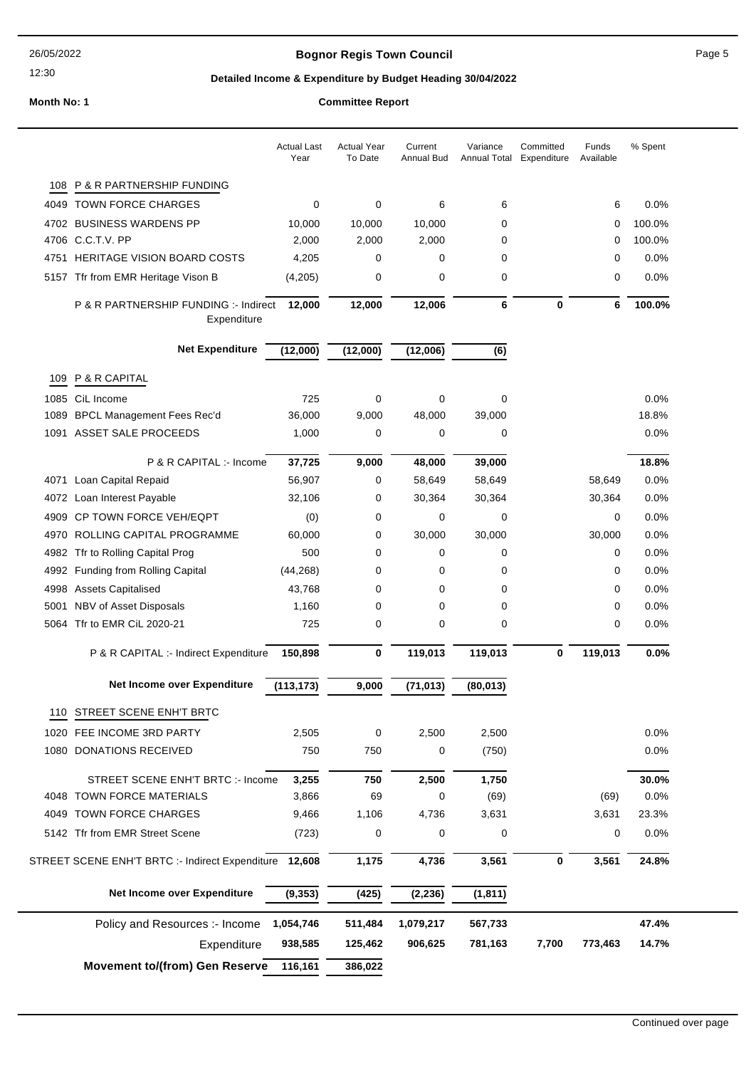## **Bognor Regis Town Council Connect Connect Page 5**

## **Detailed Income & Expenditure by Budget Heading 30/04/2022**

|      |                                                        | <b>Actual Last</b><br>Year | <b>Actual Year</b><br>To Date | Current<br>Annual Bud | Variance<br><b>Annual Total</b> | Committed<br>Expenditure | Funds<br>Available | % Spent |
|------|--------------------------------------------------------|----------------------------|-------------------------------|-----------------------|---------------------------------|--------------------------|--------------------|---------|
| 108  | P & R PARTNERSHIP FUNDING                              |                            |                               |                       |                                 |                          |                    |         |
| 4049 | <b>TOWN FORCE CHARGES</b>                              | 0                          | 0                             | 6                     | 6                               |                          | 6                  | 0.0%    |
| 4702 | <b>BUSINESS WARDENS PP</b>                             | 10,000                     | 10,000                        | 10,000                | 0                               |                          | 0                  | 100.0%  |
|      | 4706 C.C.T.V. PP                                       | 2,000                      | 2,000                         | 2,000                 | 0                               |                          | 0                  | 100.0%  |
|      | 4751 HERITAGE VISION BOARD COSTS                       | 4,205                      | 0                             | 0                     | 0                               |                          | 0                  | 0.0%    |
|      | 5157 Tfr from EMR Heritage Vison B                     | (4,205)                    | 0                             | 0                     | $\mathbf 0$                     |                          | 0                  | 0.0%    |
|      | P & R PARTNERSHIP FUNDING :- Indirect<br>Expenditure   | 12,000                     | 12,000                        | 12,006                | 6                               | 0                        | 6                  | 100.0%  |
|      | <b>Net Expenditure</b>                                 | (12,000)                   | (12,000)                      | (12,006)              | (6)                             |                          |                    |         |
| 109  | P & R CAPITAL                                          |                            |                               |                       |                                 |                          |                    |         |
|      | 1085 CiL Income                                        | 725                        | $\mathbf 0$                   | 0                     | $\mathbf 0$                     |                          |                    | 0.0%    |
| 1089 | <b>BPCL Management Fees Rec'd</b>                      | 36,000                     | 9,000                         | 48,000                | 39,000                          |                          |                    | 18.8%   |
|      | 1091 ASSET SALE PROCEEDS                               | 1,000                      | 0                             | 0                     | 0                               |                          |                    | 0.0%    |
|      |                                                        |                            |                               |                       |                                 |                          |                    |         |
|      | P & R CAPITAL :- Income                                | 37,725                     | 9,000                         | 48,000                | 39,000                          |                          |                    | 18.8%   |
|      | 4071 Loan Capital Repaid                               | 56,907                     | 0                             | 58,649                | 58,649                          |                          | 58,649             | 0.0%    |
|      | 4072 Loan Interest Payable                             | 32,106                     | 0                             | 30,364                | 30,364                          |                          | 30,364             | 0.0%    |
| 4909 | CP TOWN FORCE VEH/EQPT                                 | (0)                        | 0                             | 0                     | 0                               |                          | 0                  | 0.0%    |
|      | 4970 ROLLING CAPITAL PROGRAMME                         | 60,000                     | 0                             | 30,000                | 30,000                          |                          | 30,000             | 0.0%    |
|      | 4982 Tfr to Rolling Capital Prog                       | 500                        | 0                             | 0                     | 0                               |                          | 0                  | 0.0%    |
| 4992 | Funding from Rolling Capital                           | (44, 268)                  | 0                             | 0                     | 0                               |                          | 0                  | 0.0%    |
| 4998 | <b>Assets Capitalised</b>                              | 43,768                     | 0                             | 0                     | 0                               |                          | 0                  | 0.0%    |
| 5001 | NBV of Asset Disposals                                 | 1,160                      | 0                             | 0                     | $\mathbf 0$                     |                          | 0                  | 0.0%    |
|      | 5064 Tfr to EMR CiL 2020-21                            | 725                        | 0                             | 0                     | 0                               |                          | 0                  | $0.0\%$ |
|      | P & R CAPITAL :- Indirect Expenditure                  | 150,898                    | 0                             | 119,013               | 119,013                         | 0                        | 119,013            | 0.0%    |
|      | Net Income over Expenditure                            | (113, 173)                 | 9,000                         | (71, 013)             | (80, 013)                       |                          |                    |         |
| 110  | STREET SCENE ENH'T BRTC                                |                            |                               |                       |                                 |                          |                    |         |
|      | 1020 FEE INCOME 3RD PARTY                              | 2,505                      | 0                             | 2,500                 | 2,500                           |                          |                    | 0.0%    |
|      | 1080 DONATIONS RECEIVED                                | 750                        | 750                           | 0                     | (750)                           |                          |                    | 0.0%    |
|      | STREET SCENE ENH'T BRTC :- Income                      | 3,255                      | 750                           | 2,500                 | 1,750                           |                          |                    | 30.0%   |
|      | 4048 TOWN FORCE MATERIALS                              | 3,866                      | 69                            | 0                     | (69)                            |                          | (69)               | 0.0%    |
|      | 4049 TOWN FORCE CHARGES                                | 9,466                      | 1,106                         | 4,736                 | 3,631                           |                          | 3,631              | 23.3%   |
|      | 5142 Tfr from EMR Street Scene                         | (723)                      | 0                             | 0                     | 0                               |                          | 0                  | 0.0%    |
|      | STREET SCENE ENH'T BRTC :- Indirect Expenditure 12,608 |                            | 1,175                         | 4,736                 | 3,561                           | 0                        | 3,561              | 24.8%   |
|      | Net Income over Expenditure                            | (9, 353)                   | (425)                         | (2, 236)              | (1, 811)                        |                          |                    |         |
|      | Policy and Resources :- Income                         | 1,054,746                  | 511,484                       | 1,079,217             | 567,733                         |                          |                    | 47.4%   |
|      | Expenditure                                            | 938,585                    | 125,462                       | 906,625               | 781,163                         | 7,700                    | 773,463            | 14.7%   |
|      |                                                        |                            |                               |                       |                                 |                          |                    |         |
|      | <b>Movement to/(from) Gen Reserve</b>                  | 116,161                    | 386,022                       |                       |                                 |                          |                    |         |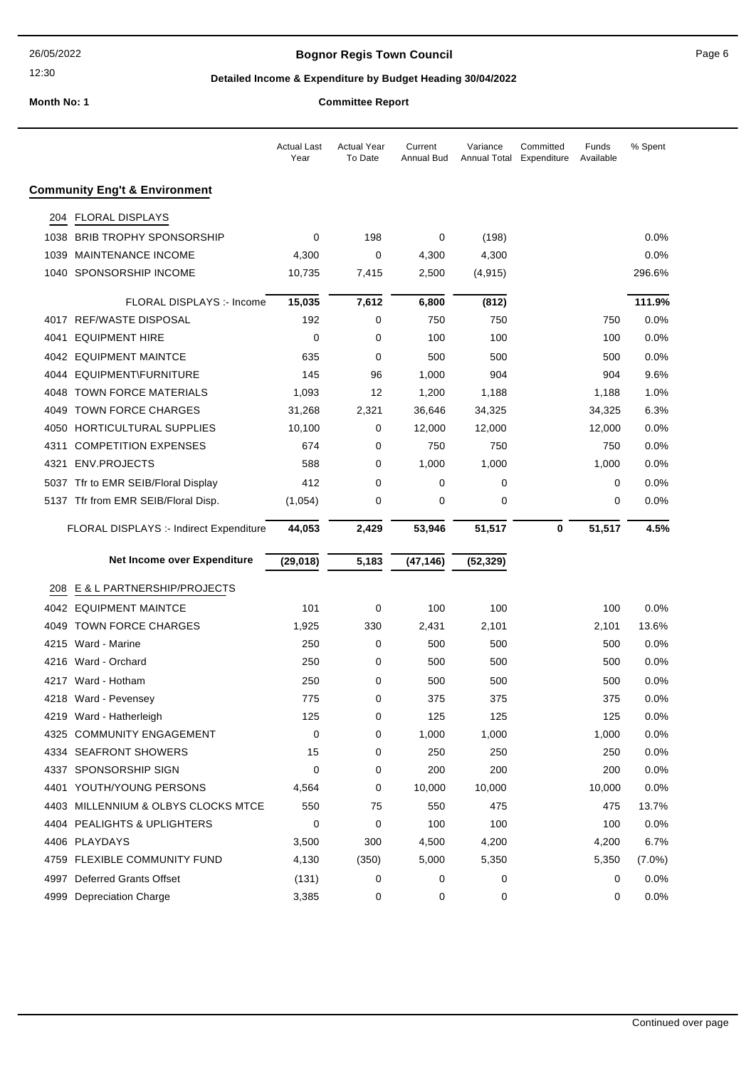## **Bognor Regis Town Council** Page 6

## **Detailed Income & Expenditure by Budget Heading 30/04/2022**

|  | committee Report |  |
|--|------------------|--|
|  |                  |  |

|      |                                          | Actual Last<br>Year | <b>Actual Year</b><br>To Date | Current<br>Annual Bud | Variance<br>Annual Total | Committed<br>Expenditure | Funds<br>Available | % Spent   |
|------|------------------------------------------|---------------------|-------------------------------|-----------------------|--------------------------|--------------------------|--------------------|-----------|
|      | <b>Community Eng't &amp; Environment</b> |                     |                               |                       |                          |                          |                    |           |
| 204  | <b>FLORAL DISPLAYS</b>                   |                     |                               |                       |                          |                          |                    |           |
| 1038 | <b>BRIB TROPHY SPONSORSHIP</b>           | $\mathbf 0$         | 198                           | 0                     | (198)                    |                          |                    | 0.0%      |
| 1039 | <b>MAINTENANCE INCOME</b>                | 4,300               | 0                             | 4,300                 | 4,300                    |                          |                    | 0.0%      |
|      | 1040 SPONSORSHIP INCOME                  | 10,735              | 7,415                         | 2,500                 | (4, 915)                 |                          |                    | 296.6%    |
|      | FLORAL DISPLAYS :- Income                | 15,035              | 7,612                         | 6,800                 | (812)                    |                          |                    | 111.9%    |
|      | 4017 REF/WASTE DISPOSAL                  | 192                 | 0                             | 750                   | 750                      |                          | 750                | 0.0%      |
| 4041 | <b>EQUIPMENT HIRE</b>                    | 0                   | 0                             | 100                   | 100                      |                          | 100                | 0.0%      |
|      | 4042 EQUIPMENT MAINTCE                   | 635                 | 0                             | 500                   | 500                      |                          | 500                | 0.0%      |
|      | 4044 EQUIPMENT\FURNITURE                 | 145                 | 96                            | 1,000                 | 904                      |                          | 904                | 9.6%      |
| 4048 | <b>TOWN FORCE MATERIALS</b>              | 1,093               | 12                            | 1,200                 | 1,188                    |                          | 1,188              | 1.0%      |
| 4049 | <b>TOWN FORCE CHARGES</b>                | 31,268              | 2,321                         | 36,646                | 34,325                   |                          | 34,325             | 6.3%      |
| 4050 | HORTICULTURAL SUPPLIES                   | 10,100              | 0                             | 12,000                | 12,000                   |                          | 12,000             | 0.0%      |
| 4311 | <b>COMPETITION EXPENSES</b>              | 674                 | 0                             | 750                   | 750                      |                          | 750                | 0.0%      |
| 4321 | <b>ENV.PROJECTS</b>                      | 588                 | 0                             | 1,000                 | 1,000                    |                          | 1,000              | $0.0\%$   |
|      | 5037 Tfr to EMR SEIB/Floral Display      | 412                 | 0                             | 0                     | 0                        |                          | 0                  | $0.0\%$   |
|      | 5137 Tfr from EMR SEIB/Floral Disp.      | (1,054)             | 0                             | 0                     | 0                        |                          | 0                  | 0.0%      |
|      | FLORAL DISPLAYS :- Indirect Expenditure  | 44,053              | 2,429                         | 53,946                | 51,517                   | 0                        | 51,517             | 4.5%      |
|      |                                          |                     |                               |                       |                          |                          |                    |           |
|      | Net Income over Expenditure              | (29, 018)           | 5,183                         | (47, 146)             | (52, 329)                |                          |                    |           |
| 208  | E & L PARTNERSHIP/PROJECTS               |                     |                               |                       |                          |                          |                    |           |
|      | 4042 EQUIPMENT MAINTCE                   | 101                 | 0                             | 100                   | 100                      |                          | 100                | 0.0%      |
|      | 4049 TOWN FORCE CHARGES                  | 1,925               | 330                           | 2,431                 | 2,101                    |                          | 2,101              | 13.6%     |
| 4215 | Ward - Marine                            | 250                 | 0                             | 500                   | 500                      |                          | 500                | $0.0\%$   |
| 4216 | Ward - Orchard                           | 250                 | 0                             | 500                   | 500                      |                          | 500                | 0.0%      |
| 4217 | Ward - Hotham                            | 250                 | 0                             | 500                   | 500                      |                          | 500                | 0.0%      |
|      | 4218 Ward - Pevensey                     | 775                 | 0                             | 375                   | 375                      |                          | 375                | 0.0%      |
|      | 4219 Ward - Hatherleigh                  | 125                 | 0                             | 125                   | 125                      |                          | 125                | 0.0%      |
| 4325 | <b>COMMUNITY ENGAGEMENT</b>              | $\mathbf 0$         | 0                             | 1,000                 | 1,000                    |                          | 1,000              | 0.0%      |
|      | 4334 SEAFRONT SHOWERS                    | 15                  | 0                             | 250                   | 250                      |                          | 250                | 0.0%      |
|      | 4337 SPONSORSHIP SIGN                    | 0                   | 0                             | 200                   | 200                      |                          | 200                | 0.0%      |
| 4401 | YOUTH/YOUNG PERSONS                      | 4,564               | 0                             | 10,000                | 10,000                   |                          | 10,000             | 0.0%      |
|      | 4403 MILLENNIUM & OLBYS CLOCKS MTCE      | 550                 | 75                            | 550                   | 475                      |                          | 475                | 13.7%     |
|      | 4404 PEALIGHTS & UPLIGHTERS              | $\mathbf 0$         | 0                             | 100                   | 100                      |                          | 100                | 0.0%      |
|      | 4406 PLAYDAYS                            | 3,500               | 300                           | 4,500                 | 4,200                    |                          | 4,200              | 6.7%      |
|      | 4759 FLEXIBLE COMMUNITY FUND             | 4,130               | (350)                         | 5,000                 | 5,350                    |                          | 5,350              | $(7.0\%)$ |
|      | 4997 Deferred Grants Offset              | (131)               | 0                             | 0                     | 0                        |                          | 0                  | 0.0%      |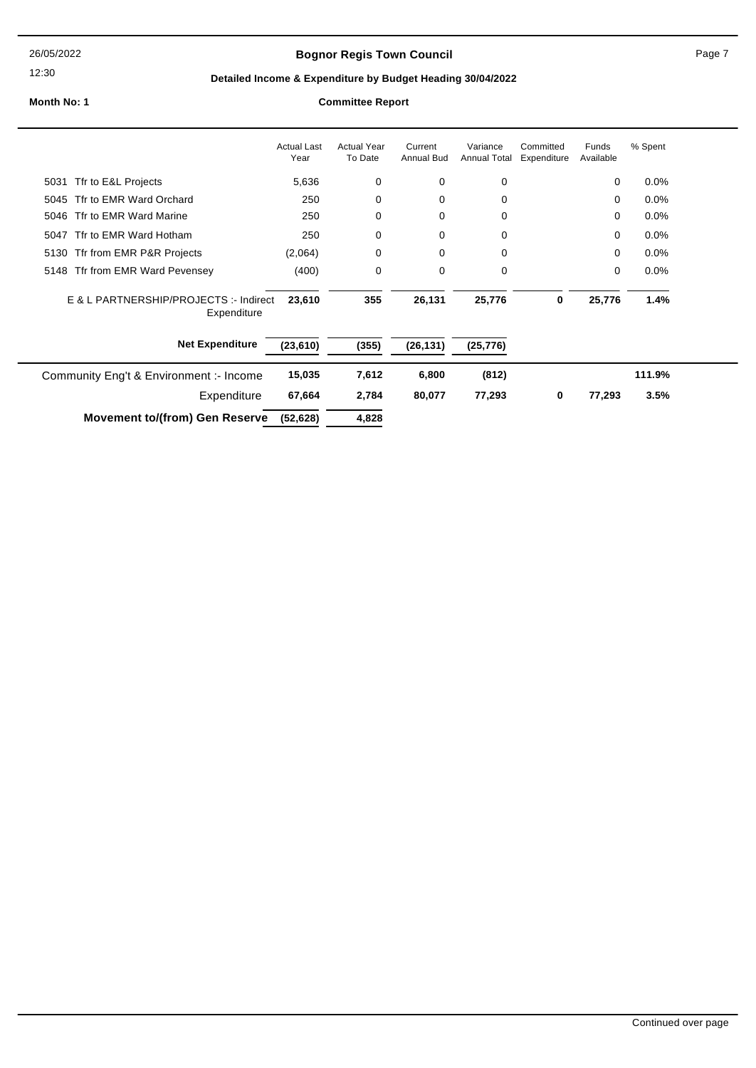26/05/2022

#### 12:30

## **Bognor Regis Town Council Connect Connect Page 7** Page 7

## **Detailed Income & Expenditure by Budget Heading 30/04/2022**

|                                                       | <b>Actual Last</b><br>Year | <b>Actual Year</b><br>To Date | Current<br>Annual Bud | Variance<br><b>Annual Total</b> | Committed<br>Expenditure | Funds<br>Available | % Spent |
|-------------------------------------------------------|----------------------------|-------------------------------|-----------------------|---------------------------------|--------------------------|--------------------|---------|
| Tfr to E&L Projects<br>5031                           | 5,636                      | 0                             | 0                     | 0                               |                          | 0                  | 0.0%    |
| Tfr to EMR Ward Orchard<br>5045                       | 250                        | $\mathbf 0$                   | 0                     | 0                               |                          | 0                  | $0.0\%$ |
| Tfr to EMR Ward Marine<br>5046                        | 250                        | 0                             | 0                     | 0                               |                          | 0                  | 0.0%    |
| Tfr to EMR Ward Hotham<br>5047                        | 250                        | $\mathbf 0$                   | 0                     | 0                               |                          | 0                  | $0.0\%$ |
| 5130 Tfr from EMR P&R Projects                        | (2,064)                    | $\mathbf 0$                   | 0                     | 0                               |                          | 0                  | 0.0%    |
| 5148 Tfr from EMR Ward Pevensey                       | (400)                      | 0                             | $\mathbf 0$           | 0                               |                          | 0                  | 0.0%    |
| E & L PARTNERSHIP/PROJECTS :- Indirect<br>Expenditure | 23,610                     | 355                           | 26,131                | 25,776                          | 0                        | 25,776             | 1.4%    |
| <b>Net Expenditure</b>                                | (23, 610)                  | (355)                         | (26, 131)             | (25, 776)                       |                          |                    |         |
| Community Eng't & Environment :- Income               | 15,035                     | 7,612                         | 6,800                 | (812)                           |                          |                    | 111.9%  |
| Expenditure                                           | 67,664                     | 2,784                         | 80,077                | 77,293                          | 0                        | 77,293             | 3.5%    |
| <b>Movement to/(from) Gen Reserve</b>                 | (52, 628)                  | 4,828                         |                       |                                 |                          |                    |         |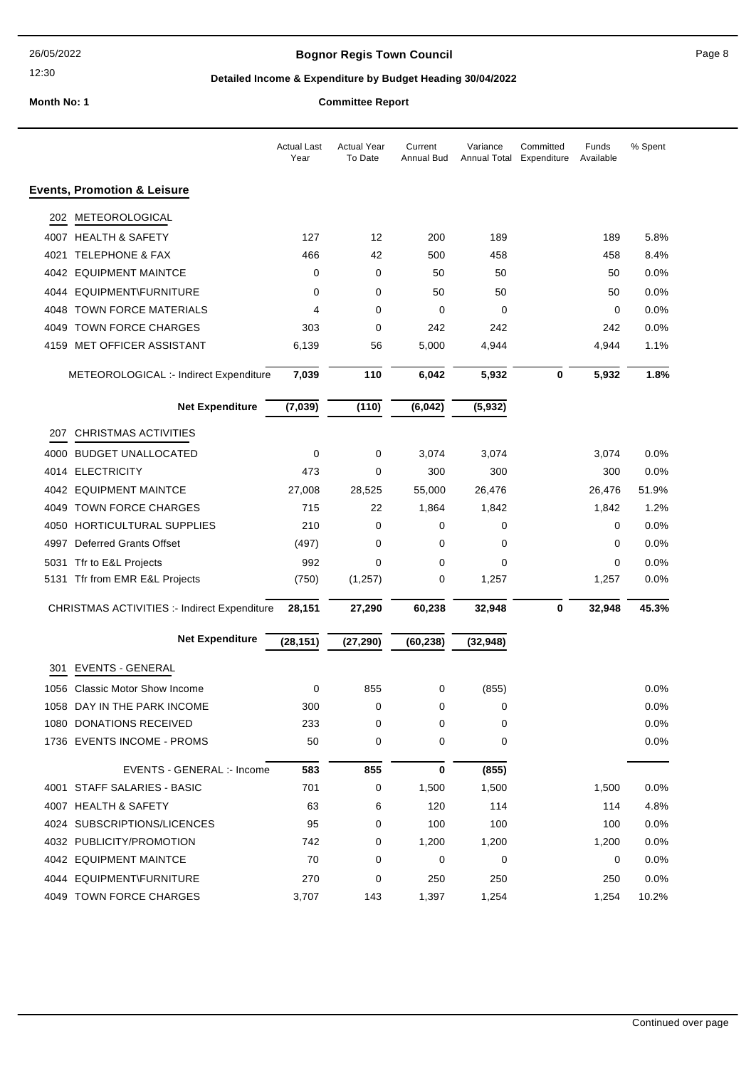## **Bognor Regis Town Council Connect Connect Page 8**

## **Detailed Income & Expenditure by Budget Heading 30/04/2022**

|      |                                              | <b>Actual Last</b><br>Year | <b>Actual Year</b><br>To Date | Current<br>Annual Bud | Variance<br>Annual Total Expenditure | Committed | Funds<br>Available | % Spent |
|------|----------------------------------------------|----------------------------|-------------------------------|-----------------------|--------------------------------------|-----------|--------------------|---------|
|      | <b>Events, Promotion &amp; Leisure</b>       |                            |                               |                       |                                      |           |                    |         |
| 202  | METEOROLOGICAL                               |                            |                               |                       |                                      |           |                    |         |
|      | 4007 HEALTH & SAFETY                         | 127                        | 12                            | 200                   | 189                                  |           | 189                | 5.8%    |
|      | 4021 TELEPHONE & FAX                         | 466                        | 42                            | 500                   | 458                                  |           | 458                | 8.4%    |
|      | 4042 EQUIPMENT MAINTCE                       | 0                          | 0                             | 50                    | 50                                   |           | 50                 | 0.0%    |
|      | 4044 EQUIPMENT\FURNITURE                     | 0                          | 0                             | 50                    | 50                                   |           | 50                 | 0.0%    |
|      | 4048 TOWN FORCE MATERIALS                    | 4                          | 0                             | 0                     | 0                                    |           | 0                  | 0.0%    |
|      | 4049 TOWN FORCE CHARGES                      | 303                        | 0                             | 242                   | 242                                  |           | 242                | 0.0%    |
|      | 4159 MET OFFICER ASSISTANT                   | 6,139                      | 56                            | 5,000                 | 4,944                                |           | 4,944              | 1.1%    |
|      | METEOROLOGICAL :- Indirect Expenditure       | 7,039                      | 110                           | 6,042                 | 5,932                                | $\bf{0}$  | 5,932              | 1.8%    |
|      | <b>Net Expenditure</b>                       | (7, 039)                   | (110)                         | (6, 042)              | (5, 932)                             |           |                    |         |
| 207  | <b>CHRISTMAS ACTIVITIES</b>                  |                            |                               |                       |                                      |           |                    |         |
|      | 4000 BUDGET UNALLOCATED                      | 0                          | 0                             | 3,074                 | 3,074                                |           | 3,074              | $0.0\%$ |
|      | 4014 ELECTRICITY                             | 473                        | 0                             | 300                   | 300                                  |           | 300                | 0.0%    |
|      | 4042 EQUIPMENT MAINTCE                       | 27,008                     | 28,525                        | 55,000                | 26,476                               |           | 26,476             | 51.9%   |
| 4049 | <b>TOWN FORCE CHARGES</b>                    | 715                        | 22                            | 1,864                 | 1,842                                |           | 1,842              | 1.2%    |
|      | 4050 HORTICULTURAL SUPPLIES                  | 210                        | 0                             | 0                     | 0                                    |           | 0                  | 0.0%    |
| 4997 | <b>Deferred Grants Offset</b>                | (497)                      | 0                             | 0                     | $\mathbf 0$                          |           | 0                  | 0.0%    |
|      | 5031 Tfr to E&L Projects                     | 992                        | 0                             | 0                     | 0                                    |           | 0                  | 0.0%    |
|      | 5131 Tfr from EMR E&L Projects               | (750)                      | (1, 257)                      | 0                     | 1,257                                |           | 1,257              | 0.0%    |
|      | CHRISTMAS ACTIVITIES :- Indirect Expenditure | 28,151                     | 27,290                        | 60,238                | 32,948                               | 0         | 32,948             | 45.3%   |
|      | <b>Net Expenditure</b>                       | (28, 151)                  | (27, 290)                     | (60, 238)             | (32, 948)                            |           |                    |         |
| 301  | <b>EVENTS - GENERAL</b>                      |                            |                               |                       |                                      |           |                    |         |
|      | 1056 Classic Motor Show Income               | 0                          | 855                           | 0                     | (855)                                |           |                    | 0.0%    |
|      | 1058 DAY IN THE PARK INCOME                  | 300                        | 0                             | 0                     | 0                                    |           |                    | 0.0%    |
|      | 1080 DONATIONS RECEIVED                      | 233                        | 0                             | 0                     | 0                                    |           |                    | 0.0%    |
|      | 1736 EVENTS INCOME - PROMS                   | 50                         | 0                             | 0                     | 0                                    |           |                    | 0.0%    |
|      | EVENTS - GENERAL : - Income                  | 583                        | 855                           | 0                     | (855)                                |           |                    |         |
|      | 4001 STAFF SALARIES - BASIC                  | 701                        | 0                             | 1,500                 | 1,500                                |           | 1,500              | 0.0%    |
|      | 4007 HEALTH & SAFETY                         | 63                         | 6                             | 120                   | 114                                  |           | 114                | 4.8%    |
|      | 4024 SUBSCRIPTIONS/LICENCES                  | 95                         | 0                             | 100                   | 100                                  |           | 100                | 0.0%    |
|      | 4032 PUBLICITY/PROMOTION                     | 742                        | 0                             | 1,200                 | 1,200                                |           | 1,200              | $0.0\%$ |
|      | 4042 EQUIPMENT MAINTCE                       | 70                         | 0                             | 0                     | 0                                    |           | 0                  | 0.0%    |
|      | 4044 EQUIPMENT\FURNITURE                     | 270                        | 0                             | 250                   | 250                                  |           | 250                | 0.0%    |
|      | 4049 TOWN FORCE CHARGES                      | 3,707                      | 143                           | 1,397                 | 1,254                                |           | 1,254              | 10.2%   |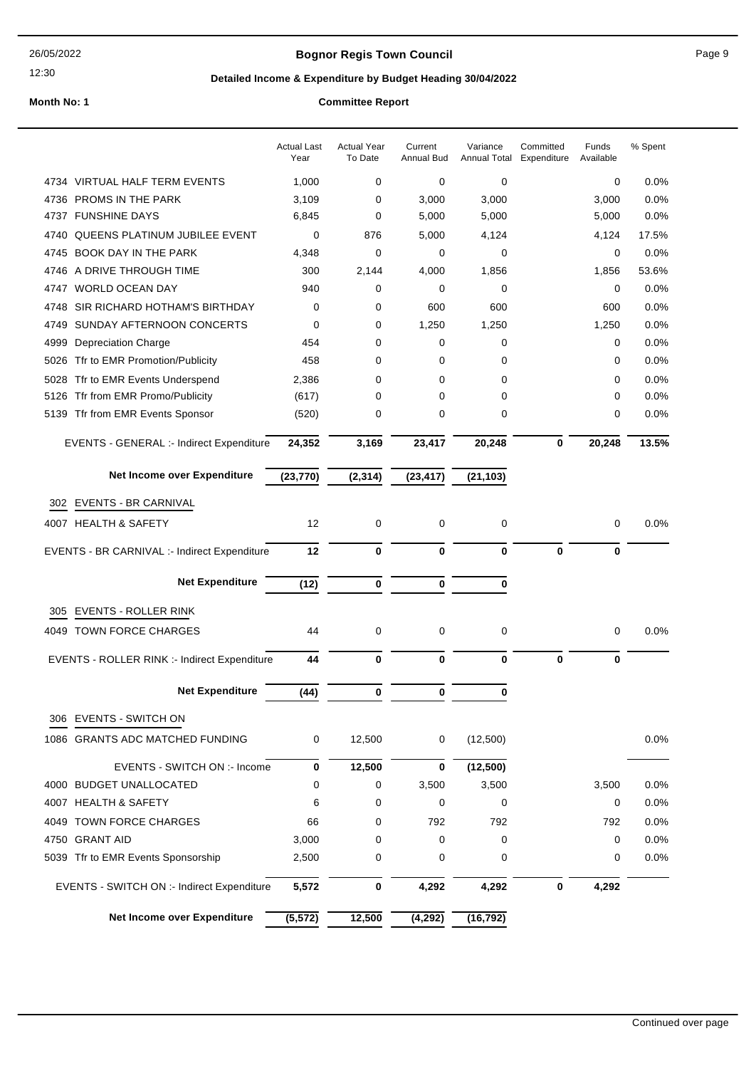#### 26/05/2022

## 12:30

## **Bognor Regis Town Council Connect Connect Page 9** Page 9

## **Detailed Income & Expenditure by Budget Heading 30/04/2022**

|                                              | <b>Actual Last</b><br>Year | <b>Actual Year</b><br>To Date | Current<br>Annual Bud | Variance<br>Annual Total | Committed<br>Expenditure | Funds<br>Available | % Spent |
|----------------------------------------------|----------------------------|-------------------------------|-----------------------|--------------------------|--------------------------|--------------------|---------|
| 4734 VIRTUAL HALF TERM EVENTS                | 1,000                      | 0                             | 0                     | 0                        |                          | 0                  | 0.0%    |
| <b>PROMS IN THE PARK</b><br>4736             | 3,109                      | 0                             | 3,000                 | 3,000                    |                          | 3,000              | 0.0%    |
| 4737 FUNSHINE DAYS                           | 6,845                      | 0                             | 5,000                 | 5,000                    |                          | 5,000              | 0.0%    |
| <b>QUEENS PLATINUM JUBILEE EVENT</b><br>4740 | 0                          | 876                           | 5,000                 | 4,124                    |                          | 4,124              | 17.5%   |
| <b>BOOK DAY IN THE PARK</b><br>4745          | 4,348                      | 0                             | 0                     | 0                        |                          | 0                  | 0.0%    |
| 4746 A DRIVE THROUGH TIME                    | 300                        | 2,144                         | 4,000                 | 1,856                    |                          | 1,856              | 53.6%   |
| 4747 WORLD OCEAN DAY                         | 940                        | 0                             | 0                     | 0                        |                          | 0                  | 0.0%    |
| SIR RICHARD HOTHAM'S BIRTHDAY<br>4748        | 0                          | 0                             | 600                   | 600                      |                          | 600                | 0.0%    |
| SUNDAY AFTERNOON CONCERTS<br>4749            | 0                          | 0                             | 1,250                 | 1,250                    |                          | 1,250              | 0.0%    |
| 4999<br><b>Depreciation Charge</b>           | 454                        | 0                             | 0                     | 0                        |                          | 0                  | 0.0%    |
| Tfr to EMR Promotion/Publicity<br>5026       | 458                        | 0                             | 0                     | 0                        |                          | 0                  | 0.0%    |
| Tfr to EMR Events Underspend<br>5028         | 2,386                      | 0                             | 0                     | 0                        |                          | 0                  | 0.0%    |
| 5126 Tfr from EMR Promo/Publicity            | (617)                      | 0                             | 0                     | 0                        |                          | 0                  | 0.0%    |
| 5139 Tfr from EMR Events Sponsor             | (520)                      | 0                             | 0                     | 0                        |                          | 0                  | 0.0%    |
| EVENTS - GENERAL :- Indirect Expenditure     | 24,352                     | 3,169                         | 23,417                | 20,248                   | 0                        | 20,248             | 13.5%   |
| Net Income over Expenditure                  | (23, 770)                  | (2, 314)                      | (23, 417)             | (21, 103)                |                          |                    |         |
| EVENTS - BR CARNIVAL<br>302                  |                            |                               |                       |                          |                          |                    |         |
| 4007 HEALTH & SAFETY                         | 12                         | 0                             | 0                     | 0                        |                          | 0                  | 0.0%    |
| EVENTS - BR CARNIVAL :- Indirect Expenditure | 12                         | 0                             | $\bf{0}$              | 0                        | $\mathbf 0$              | 0                  |         |
| <b>Net Expenditure</b>                       | (12)                       | $\mathbf 0$                   | $\bf{0}$              | 0                        |                          |                    |         |
| EVENTS - ROLLER RINK<br>305                  |                            |                               |                       |                          |                          |                    |         |
| 4049 TOWN FORCE CHARGES                      | 44                         | 0                             | 0                     | 0                        |                          | 0                  | 0.0%    |
| EVENTS - ROLLER RINK :- Indirect Expenditure | 44                         | 0                             | 0                     | 0                        | $\mathbf 0$              | 0                  |         |
|                                              |                            |                               |                       |                          |                          |                    |         |
| <b>Net Expenditure</b>                       | (44)                       | 0                             | 0                     | 0                        |                          |                    |         |
| <b>EVENTS - SWITCH ON</b><br>306             |                            |                               |                       |                          |                          |                    |         |
| 1086 GRANTS ADC MATCHED FUNDING              | 0                          | 12,500                        | 0                     | (12,500)                 |                          |                    | 0.0%    |
| EVENTS - SWITCH ON :- Income                 | 0                          | 12,500                        | 0                     | (12, 500)                |                          |                    |         |
| 4000 BUDGET UNALLOCATED                      | 0                          | 0                             | 3,500                 | 3,500                    |                          | 3,500              | 0.0%    |
| 4007 HEALTH & SAFETY                         | 6                          | 0                             | 0                     | 0                        |                          | 0                  | 0.0%    |
| 4049 TOWN FORCE CHARGES                      | 66                         | 0                             | 792                   | 792                      |                          | 792                | 0.0%    |
| 4750 GRANT AID                               | 3,000                      | 0                             | 0                     | 0                        |                          | 0                  | 0.0%    |
| 5039 Tfr to EMR Events Sponsorship           | 2,500                      | 0                             | 0                     | 0                        |                          | 0                  | 0.0%    |
| EVENTS - SWITCH ON :- Indirect Expenditure   | 5,572                      | 0                             | 4,292                 | 4,292                    | 0                        | 4,292              |         |
| Net Income over Expenditure                  | (5, 572)                   | 12,500                        | (4, 292)              | (16, 792)                |                          |                    |         |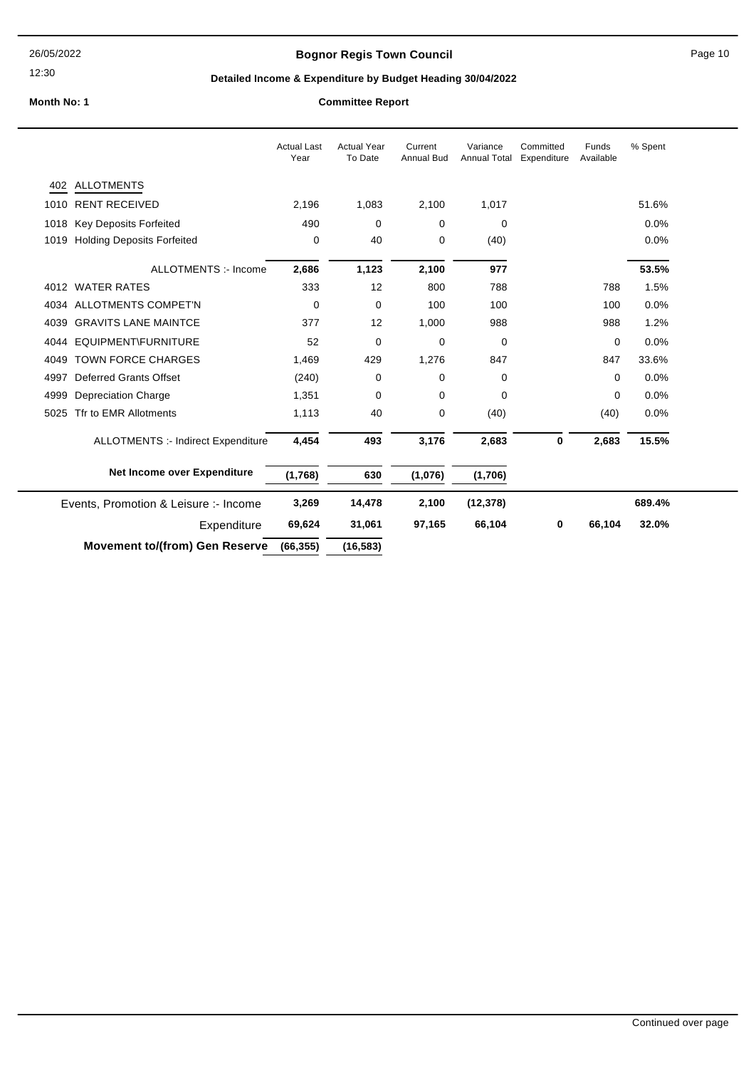## **Bognor Regis Town Council** Page 10

## **Detailed Income & Expenditure by Budget Heading 30/04/2022**

|                                       |                                       | <b>Actual Last</b><br>Year | <b>Actual Year</b><br>To Date | Current<br><b>Annual Bud</b> | Variance<br><b>Annual Total</b> | Committed<br>Expenditure | Funds<br>Available | % Spent |
|---------------------------------------|---------------------------------------|----------------------------|-------------------------------|------------------------------|---------------------------------|--------------------------|--------------------|---------|
|                                       | 402 ALLOTMENTS                        |                            |                               |                              |                                 |                          |                    |         |
|                                       | 1010 RENT RECEIVED                    | 2,196                      | 1,083                         | 2,100                        | 1,017                           |                          |                    | 51.6%   |
|                                       | 1018 Key Deposits Forfeited           | 490                        | 0                             | 0                            | $\mathbf 0$                     |                          |                    | 0.0%    |
|                                       | 1019 Holding Deposits Forfeited       | 0                          | 40                            | 0                            | (40)                            |                          |                    | 0.0%    |
|                                       | <b>ALLOTMENTS :- Income</b>           | 2,686                      | 1,123                         | 2,100                        | 977                             |                          |                    | 53.5%   |
|                                       | 4012 WATER RATES                      | 333                        | 12                            | 800                          | 788                             |                          | 788                | 1.5%    |
|                                       | 4034 ALLOTMENTS COMPET'N              | $\mathbf 0$                | 0                             | 100                          | 100                             |                          | 100                | 0.0%    |
| 4039                                  | <b>GRAVITS LANE MAINTCE</b>           | 377                        | 12                            | 1,000                        | 988                             |                          | 988                | 1.2%    |
|                                       | 4044 EQUIPMENT\FURNITURE              | 52                         | 0                             | 0                            | 0                               |                          | 0                  | 0.0%    |
| 4049                                  | <b>TOWN FORCE CHARGES</b>             | 1,469                      | 429                           | 1,276                        | 847                             |                          | 847                | 33.6%   |
| 4997                                  | <b>Deferred Grants Offset</b>         | (240)                      | 0                             | 0                            | $\mathbf 0$                     |                          | 0                  | 0.0%    |
| 4999                                  | <b>Depreciation Charge</b>            | 1,351                      | 0                             | 0                            | $\mathbf 0$                     |                          | 0                  | 0.0%    |
| 5025                                  | Tfr to EMR Allotments                 | 1,113                      | 40                            | 0                            | (40)                            |                          | (40)               | 0.0%    |
|                                       | ALLOTMENTS :- Indirect Expenditure    | 4,454                      | 493                           | 3,176                        | 2,683                           | 0                        | 2,683              | 15.5%   |
|                                       | Net Income over Expenditure           | (1,768)                    | 630                           | (1,076)                      | (1,706)                         |                          |                    |         |
| Events, Promotion & Leisure :- Income |                                       | 3,269                      | 14,478                        | 2,100                        | (12, 378)                       |                          |                    | 689.4%  |
|                                       | Expenditure                           | 69,624                     | 31,061                        | 97,165                       | 66,104                          | 0                        | 66,104             | 32.0%   |
|                                       | <b>Movement to/(from) Gen Reserve</b> | (66, 355)                  | (16, 583)                     |                              |                                 |                          |                    |         |